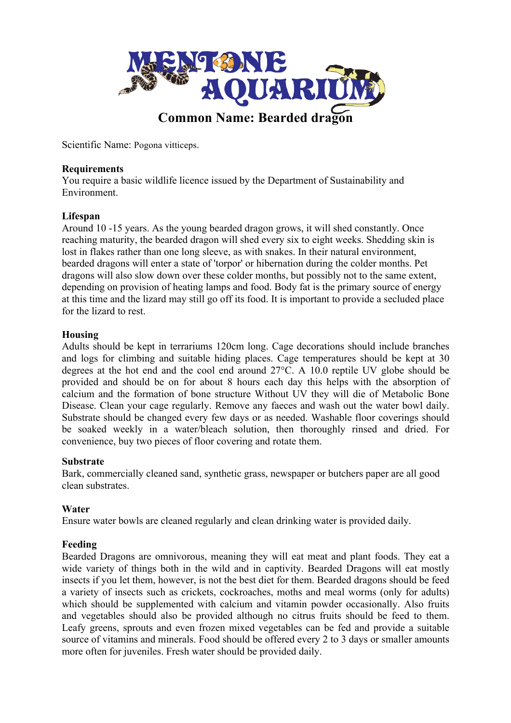

Scientific Name: Pogona vitticeps.

## **Requirements**

You require a basic wildlife licence issued by the Department of Sustainability and Environment.

## **Lifespan**

Around 10 -15 years. As the young bearded dragon grows, it will shed constantly. Once reaching maturity, the bearded dragon will shed every six to eight weeks. Shedding skin is lost in flakes rather than one long sleeve, as with snakes. In their natural environment, bearded dragons will enter a state of 'torpor' or hibernation during the colder months. Pet dragons will also slow down over these colder months, but possibly not to the same extent, depending on provision of heating lamps and food. Body fat is the primary source of energy at this time and the lizard may still go off its food. It is important to provide a secluded place for the lizard to rest.

## **Housing**

Adults should be kept in terrariums 120cm long. Cage decorations should include branches and logs for climbing and suitable hiding places. Cage temperatures should be kept at 30 degrees at the hot end and the cool end around 27°C. A 10.0 reptile UV globe should be provided and should be on for about 8 hours each day this helps with the absorption of calcium and the formation of bone structure Without UV they will die of Metabolic Bone Disease. Clean your cage regularly. Remove any faeces and wash out the water bowl daily. Substrate should be changed every few days or as needed. Washable floor coverings should be soaked weekly in a water/bleach solution, then thoroughly rinsed and dried. For convenience, buy two pieces of floor covering and rotate them.

#### **Substrate**

Bark, commercially cleaned sand, synthetic grass, newspaper or butchers paper are all good clean substrates.

# **Water**

Ensure water bowls are cleaned regularly and clean drinking water is provided daily.

# **Feeding**

Bearded Dragons are omnivorous, meaning they will eat meat and plant foods. They eat a wide variety of things both in the wild and in captivity. Bearded Dragons will eat mostly insects if you let them, however, is not the best diet for them. Bearded dragons should be feed a variety of insects such as crickets, cockroaches, moths and meal worms (only for adults) which should be supplemented with calcium and vitamin powder occasionally. Also fruits and vegetables should also be provided although no citrus fruits should be feed to them. Leafy greens, sprouts and even frozen mixed vegetables can be fed and provide a suitable source of vitamins and minerals. Food should be offered every 2 to 3 days or smaller amounts more often for juveniles. Fresh water should be provided daily.